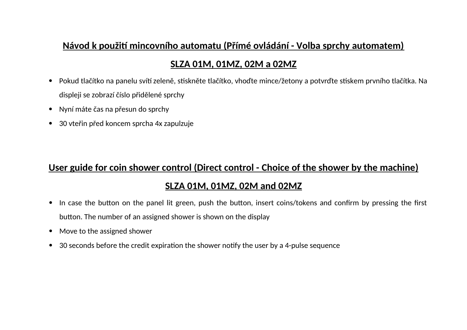## **Návod k použití mincovního automatu (Přímé ovládání - Volba sprchy automatem)**

### **SLZA 01M, 01MZ, 02M a 02MZ**

- Pokud tlačítko na panelu svítí zeleně, stiskněte tlačítko, vhoďte mince/žetony a potvrďte stiskem prvního tlačítka. Na displeji se zobrazí číslo přidělené sprchy
- Nyní máte čas na přesun do sprchy
- 30 vteřin před koncem sprcha 4x zapulzuje

# **<u>User guide for coin shower control (Direct control - Choice of the shower by the machine)</u> SLZA 01M, 01MZ, 02M aid 02MZ**

- In case the button on the panel lit green, push the button, insert coins/tokens and confirm by pressing the first button. The number of an assigned shower is shown on the display
- Move to the assigned shower
- $\bullet$  30 seconds before the credit expiration the shower notify the user by a 4-pulse sequence